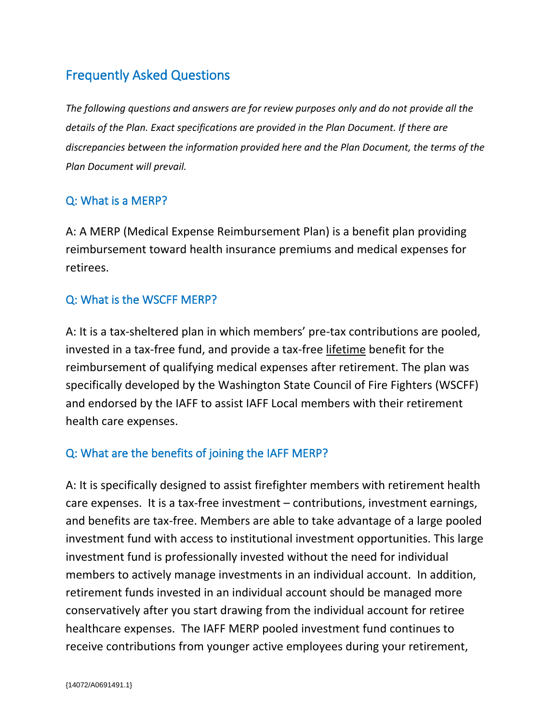# Frequently Asked Questions

*The following questions and answers are for review purposes only and do not provide all the details of the Plan. Exact specifications are provided in the Plan Document. If there are discrepancies between the information provided here and the Plan Document, the terms of the Plan Document will prevail.*

# Q: What is a MERP?

A: A MERP (Medical Expense Reimbursement Plan) is a benefit plan providing reimbursement toward health insurance premiums and medical expenses for retirees.

# Q: What is the WSCFF MERP?

A: It is a tax-sheltered plan in which members' pre-tax contributions are pooled, invested in a tax-free fund, and provide a tax-free lifetime benefit for the reimbursement of qualifying medical expenses after retirement. The plan was specifically developed by the Washington State Council of Fire Fighters (WSCFF) and endorsed by the IAFF to assist IAFF Local members with their retirement health care expenses.

## Q: What are the benefits of joining the IAFF MERP?

A: It is specifically designed to assist firefighter members with retirement health care expenses. It is a tax-free investment – contributions, investment earnings, and benefits are tax-free. Members are able to take advantage of a large pooled investment fund with access to institutional investment opportunities. This large investment fund is professionally invested without the need for individual members to actively manage investments in an individual account. In addition, retirement funds invested in an individual account should be managed more conservatively after you start drawing from the individual account for retiree healthcare expenses. The IAFF MERP pooled investment fund continues to receive contributions from younger active employees during your retirement,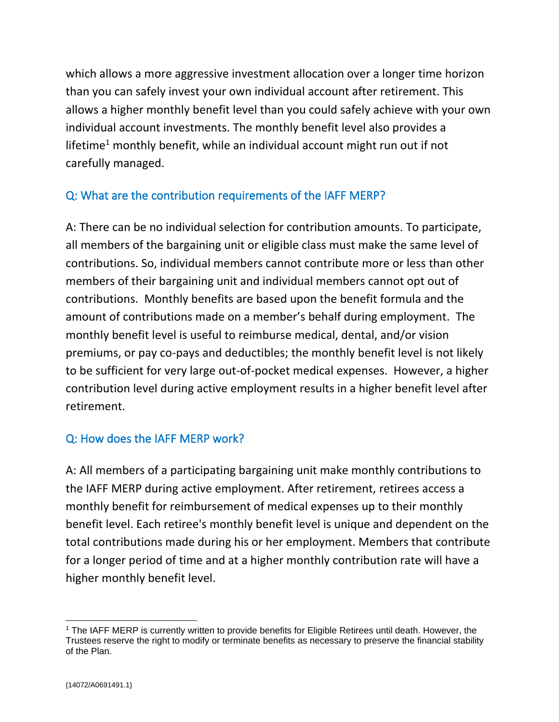which allows a more aggressive investment allocation over a longer time horizon than you can safely invest your own individual account after retirement. This allows a higher monthly benefit level than you could safely achieve with your own individual account investments. The monthly benefit level also provides a lifetime<sup>1</sup> monthly benefit, while an individual account might run out if not carefully managed.

# Q: What are the contribution requirements of the IAFF MERP?

A: There can be no individual selection for contribution amounts. To participate, all members of the bargaining unit or eligible class must make the same level of contributions. So, individual members cannot contribute more or less than other members of their bargaining unit and individual members cannot opt out of contributions. Monthly benefits are based upon the benefit formula and the amount of contributions made on a member's behalf during employment. The monthly benefit level is useful to reimburse medical, dental, and/or vision premiums, or pay co-pays and deductibles; the monthly benefit level is not likely to be sufficient for very large out-of-pocket medical expenses. However, a higher contribution level during active employment results in a higher benefit level after retirement.

## Q: How does the IAFF MERP work?

A: All members of a participating bargaining unit make monthly contributions to the IAFF MERP during active employment. After retirement, retirees access a monthly benefit for reimbursement of medical expenses up to their monthly benefit level. Each retiree's monthly benefit level is unique and dependent on the total contributions made during his or her employment. Members that contribute for a longer period of time and at a higher monthly contribution rate will have a higher monthly benefit level.

<sup>1</sup> The IAFF MERP is currently written to provide benefits for Eligible Retirees until death. However, the Trustees reserve the right to modify or terminate benefits as necessary to preserve the financial stability of the Plan.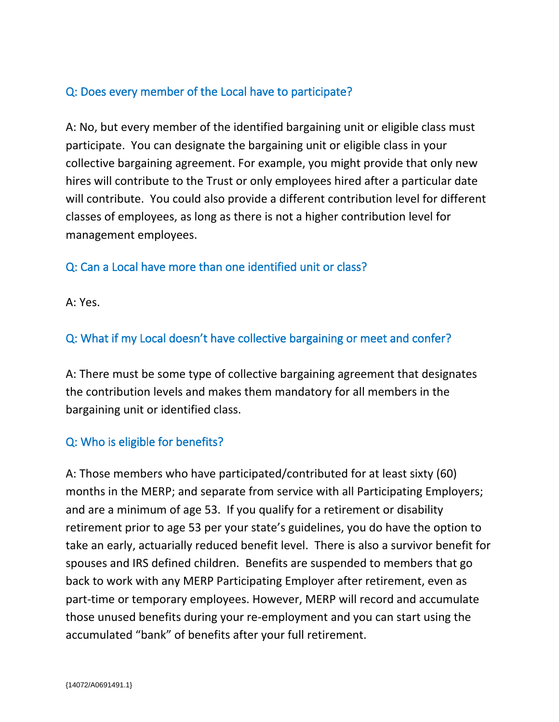## Q: Does every member of the Local have to participate?

A: No, but every member of the identified bargaining unit or eligible class must participate. You can designate the bargaining unit or eligible class in your collective bargaining agreement. For example, you might provide that only new hires will contribute to the Trust or only employees hired after a particular date will contribute. You could also provide a different contribution level for different classes of employees, as long as there is not a higher contribution level for management employees.

# Q: Can a Local have more than one identified unit or class?

A: Yes.

# Q: What if my Local doesn't have collective bargaining or meet and confer?

A: There must be some type of collective bargaining agreement that designates the contribution levels and makes them mandatory for all members in the bargaining unit or identified class.

## Q: Who is eligible for benefits?

A: Those members who have participated/contributed for at least sixty (60) months in the MERP; and separate from service with all Participating Employers; and are a minimum of age 53. If you qualify for a retirement or disability retirement prior to age 53 per your state's guidelines, you do have the option to take an early, actuarially reduced benefit level. There is also a survivor benefit for spouses and IRS defined children. Benefits are suspended to members that go back to work with any MERP Participating Employer after retirement, even as part-time or temporary employees. However, MERP will record and accumulate those unused benefits during your re-employment and you can start using the accumulated "bank" of benefits after your full retirement.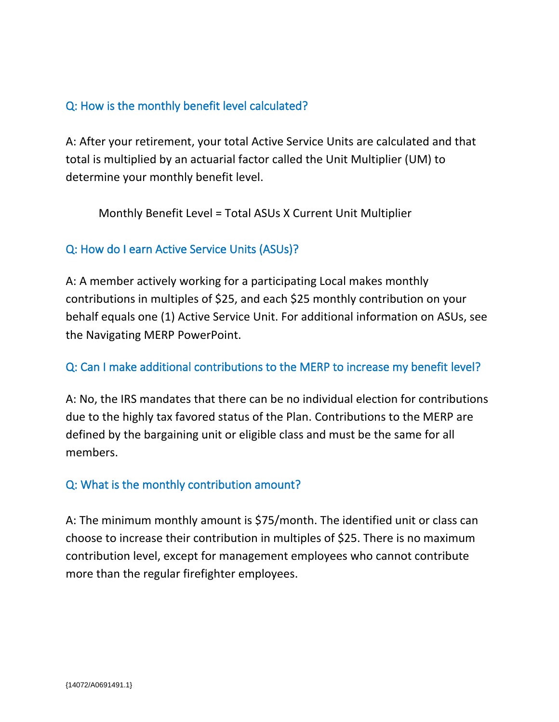## Q: How is the monthly benefit level calculated?

A: After your retirement, your total Active Service Units are calculated and that total is multiplied by an actuarial factor called the Unit Multiplier (UM) to determine your monthly benefit level.

Monthly Benefit Level = Total ASUs X Current Unit Multiplier

## Q: How do I earn Active Service Units (ASUs)?

A: A member actively working for a participating Local makes monthly contributions in multiples of \$25, and each \$25 monthly contribution on your behalf equals one (1) Active Service Unit. For additional information on ASUs, see the Navigating MERP PowerPoint.

#### Q: Can I make additional contributions to the MERP to increase my benefit level?

A: No, the IRS mandates that there can be no individual election for contributions due to the highly tax favored status of the Plan. Contributions to the MERP are defined by the bargaining unit or eligible class and must be the same for all members.

#### Q: What is the monthly contribution amount?

A: The minimum monthly amount is \$75/month. The identified unit or class can choose to increase their contribution in multiples of \$25. There is no maximum contribution level, except for management employees who cannot contribute more than the regular firefighter employees.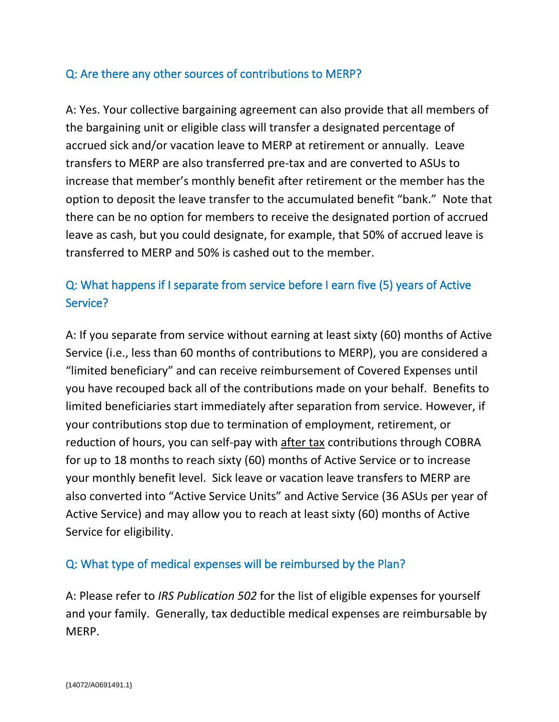## Q: Are there any other sources of contributions to MERP?

A: Yes. Your collective bargaining agreement can also provide that all members of the bargaining unit or eligible class will transfer a designated percentage of accrued sick and/or vacation leave to MERP at retirement or annually. Leave transfers to MERP are also transferred pre-tax and are converted to ASUs to increase that member's monthly benefit after retirement or the member has the option to deposit the leave transfer to the accumulated benefit "bank." Note that there can be no option for members to receive the designated portion of accrued leave as cash, but you could designate, for example, that 50% of accrued leave is transferred to MERP and 50% is cashed out to the member.

# Q: What happens if I separate from service before I earn five (5) years of Active Service?

A: If you separate from service without earning at least sixty (60) months of Active Service (i.e., less than 60 months of contributions to MERP), you are considered a "limited beneficiary" and can receive reimbursement of Covered Expenses until you have recouped back all of the contributions made on your behalf. Benefits to limited beneficiaries start immediately after separation from service. However, if your contributions stop due to termination of employment, retirement, or reduction of hours, you can self-pay with after tax contributions through COBRA for up to 18 months to reach sixty (60) months of Active Service or to increase your monthly benefit level. Sick leave or vacation leave transfers to MERP are also converted into "Active Service Units" and Active Service (36 ASUs per year of Active Service) and may allow you to reach at least sixty (60) months of Active Service for eligibility.

#### Q: What type of medical expenses will be reimbursed by the Plan?

A: Please refer to *IRS Publication 502* for the list of eligible expenses for yourself and your family. Generally, tax deductible medical expenses are reimbursable by MERP.